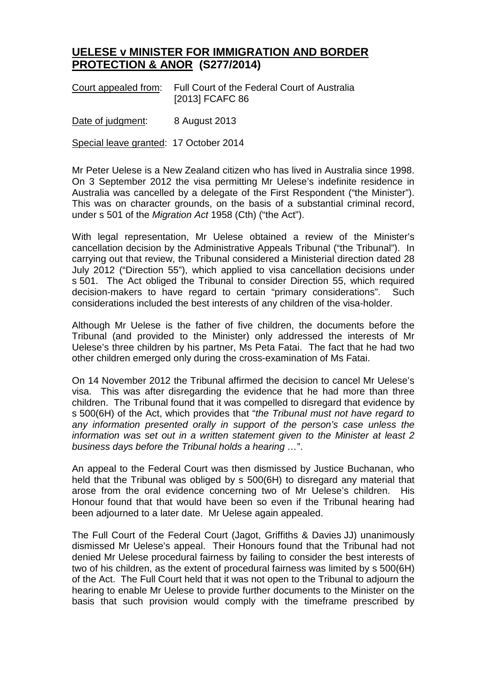## **UELESE v MINISTER FOR IMMIGRATION AND BORDER PROTECTION & ANOR (S277/2014)**

| Court appealed from: Full Court of the Federal Court of Australia |
|-------------------------------------------------------------------|
| [2013] FCAFC 86                                                   |

Date of judgment: 8 August 2013

Special leave granted: 17 October 2014

Mr Peter Uelese is a New Zealand citizen who has lived in Australia since 1998. On 3 September 2012 the visa permitting Mr Uelese's indefinite residence in Australia was cancelled by a delegate of the First Respondent ("the Minister"). This was on character grounds, on the basis of a substantial criminal record, under s 501 of the *Migration Act* 1958 (Cth) ("the Act").

With legal representation, Mr Uelese obtained a review of the Minister's cancellation decision by the Administrative Appeals Tribunal ("the Tribunal"). In carrying out that review, the Tribunal considered a Ministerial direction dated 28 July 2012 ("Direction 55"), which applied to visa cancellation decisions under s 501. The Act obliged the Tribunal to consider Direction 55, which required decision-makers to have regard to certain "primary considerations". Such considerations included the best interests of any children of the visa-holder.

Although Mr Uelese is the father of five children, the documents before the Tribunal (and provided to the Minister) only addressed the interests of Mr Uelese's three children by his partner, Ms Peta Fatai. The fact that he had two other children emerged only during the cross-examination of Ms Fatai.

On 14 November 2012 the Tribunal affirmed the decision to cancel Mr Uelese's visa. This was after disregarding the evidence that he had more than three children. The Tribunal found that it was compelled to disregard that evidence by s 500(6H) of the Act, which provides that "*the Tribunal must not have regard to any information presented orally in support of the person's case unless the information was set out in a written statement given to the Minister at least 2 business days before the Tribunal holds a hearing …*".

An appeal to the Federal Court was then dismissed by Justice Buchanan, who held that the Tribunal was obliged by s 500(6H) to disregard any material that arose from the oral evidence concerning two of Mr Uelese's children. His Honour found that that would have been so even if the Tribunal hearing had been adjourned to a later date. Mr Uelese again appealed.

The Full Court of the Federal Court (Jagot, Griffiths & Davies JJ) unanimously dismissed Mr Uelese's appeal. Their Honours found that the Tribunal had not denied Mr Uelese procedural fairness by failing to consider the best interests of two of his children, as the extent of procedural fairness was limited by s 500(6H) of the Act. The Full Court held that it was not open to the Tribunal to adjourn the hearing to enable Mr Uelese to provide further documents to the Minister on the basis that such provision would comply with the timeframe prescribed by